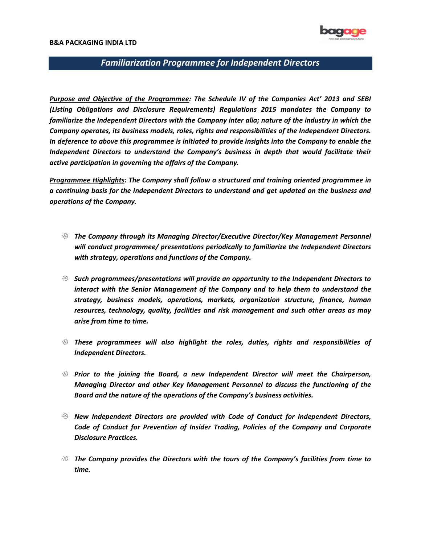

#### B&A PACKAGING INDIA LTD

## Familiarization Programmee for Independent Directors

Purpose and Objective of the Programmee: The Schedule IV of the Companies Act' 2013 and SEBI (Listing Obligations and Disclosure Requirements) Regulations 2015 mandates the Company to familiarize the Independent Directors with the Company inter alia; nature of the industry in which the Company operates, its business models, roles, rights and responsibilities of the Independent Directors. In deference to above this programmee is initiated to provide insights into the Company to enable the Independent Directors to understand the Company's business in depth that would facilitate their active participation in governing the affairs of the Company.

Programmee Highlights: The Company shall follow a structured and training oriented programmee in a continuing basis for the Independent Directors to understand and get updated on the business and operations of the Company.

- The Company through its Managing Director/Executive Director/Key Management Personnel will conduct programmee/ presentations periodically to familiarize the Independent Directors with strategy, operations and functions of the Company.
- $\mathcal{S}$  Such programmees/presentations will provide an opportunity to the Independent Directors to interact with the Senior Management of the Company and to help them to understand the strategy, business models, operations, markets, organization structure, finance, human resources, technology, quality, facilities and risk management and such other areas as may arise from time to time.
- $\odot$  These programmees will also highlight the roles, duties, rights and responsibilities of Independent Directors.
- $\mathcal D$  Prior to the joining the Board, a new Independent Director will meet the Chairperson, Managing Director and other Key Management Personnel to discuss the functioning of the Board and the nature of the operations of the Company's business activities.
- $\mathcal D$  New Independent Directors are provided with Code of Conduct for Independent Directors, Code of Conduct for Prevention of Insider Trading, Policies of the Company and Corporate Disclosure Practices.
- $\mathcal D$  The Company provides the Directors with the tours of the Company's facilities from time to time.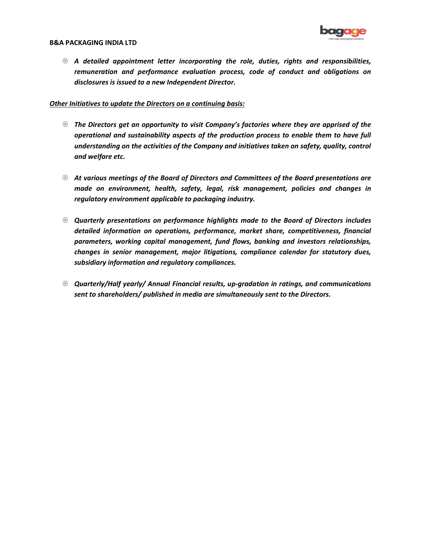

#### B&A PACKAGING INDIA LTD

 $\mathcal D$  A detailed appointment letter incorporating the role, duties, rights and responsibilities, remuneration and performance evaluation process, code of conduct and obligations on disclosures is issued to a new Independent Director.

### Other Initiatives to update the Directors on a continuing basis:

- $\mathcal D$  The Directors get an opportunity to visit Company's factories where they are apprised of the operational and sustainability aspects of the production process to enable them to have full understanding on the activities of the Company and initiatives taken on safety, quality, control and welfare etc.
- $\, \circledast \,$  At various meetings of the Board of Directors and Committees of the Board presentations are made on environment, health, safety, legal, risk management, policies and changes in regulatory environment applicable to packaging industry.
- $\mathcal D$  Quarterly presentations on performance highlights made to the Board of Directors includes detailed information on operations, performance, market share, competitiveness, financial parameters, working capital management, fund flows, banking and investors relationships, changes in senior management, major litigations, compliance calendar for statutory dues, subsidiary information and regulatory compliances.
- $\odot$  Quarterly/Half yearly/ Annual Financial results, up-gradation in ratings, and communications sent to shareholders/ published in media are simultaneously sent to the Directors.